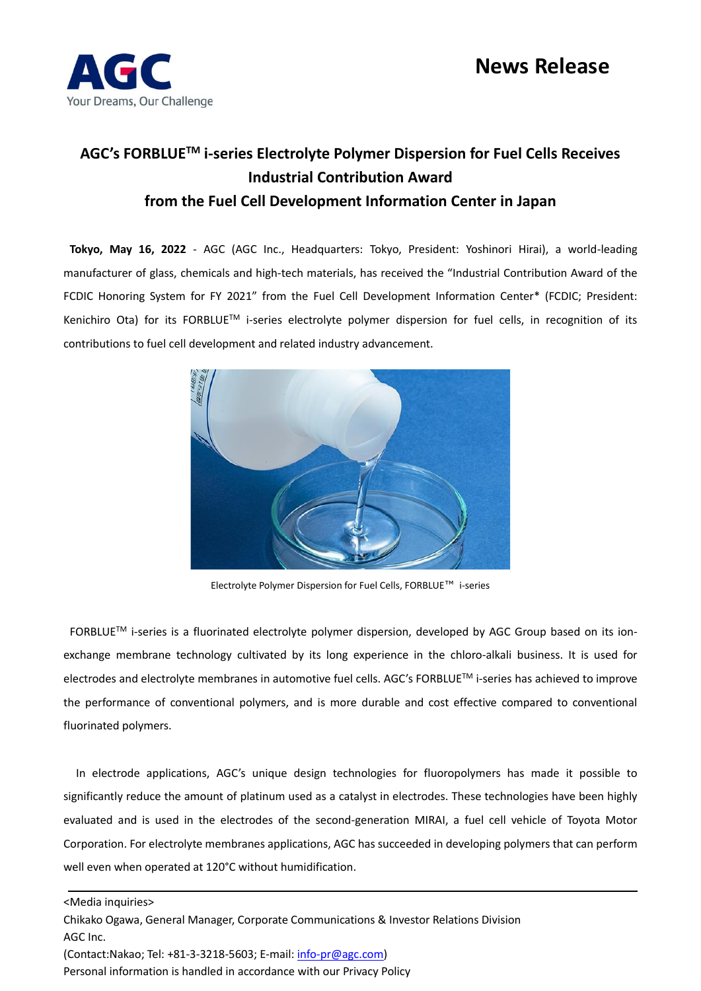

## **News Release**

## **AGC's FORBLUETM i-series Electrolyte Polymer Dispersion for Fuel Cells Receives Industrial Contribution Award from the Fuel Cell Development Information Center in Japan**

**Tokyo, May 16, 2022** - AGC (AGC Inc., Headquarters: Tokyo, President: Yoshinori Hirai), a world-leading manufacturer of glass, chemicals and high-tech materials, has received the "Industrial Contribution Award of the FCDIC Honoring System for FY 2021" from the Fuel Cell Development Information Center\* (FCDIC; President: Kenichiro Ota) for its FORBLUE™ i-series electrolyte polymer dispersion for fuel cells, in recognition of its contributions to fuel cell development and related industry advancement.



Electrolyte Polymer Dispersion for Fuel Cells, FORBLUE™ i-series

FORBLUETM i-series is a fluorinated electrolyte polymer dispersion, developed by AGC Group based on its ionexchange membrane technology cultivated by its long experience in the chloro-alkali business. It is used for electrodes and electrolyte membranes in automotive fuel cells. AGC's FORBLUETM i-series has achieved to improve the performance of conventional polymers, and is more durable and cost effective compared to conventional fluorinated polymers.

In electrode applications, AGC's unique design technologies for fluoropolymers has made it possible to significantly reduce the amount of platinum used as a catalyst in electrodes. These technologies have been highly evaluated and is used in the electrodes of the second-generation MIRAI, a fuel cell vehicle of Toyota Motor Corporation. For electrolyte membranes applications, AGC has succeeded in developing polymers that can perform well even when operated at 120°C without humidification.

<Media inquiries> Chikako Ogawa, General Manager, Corporate Communications & Investor Relations Division AGC Inc. (Contact:Nakao; Tel: +81-3-3218-5603; E-mail[: info-pr@agc.com\)](file:///C:/Users/kenichi%20oda/AppData/Local/Microsoft/Windows/INetCache/Content.Outlook/21DSJCFO/info-pr@agc.com) Personal information is handled in accordance with our Privacy Policy